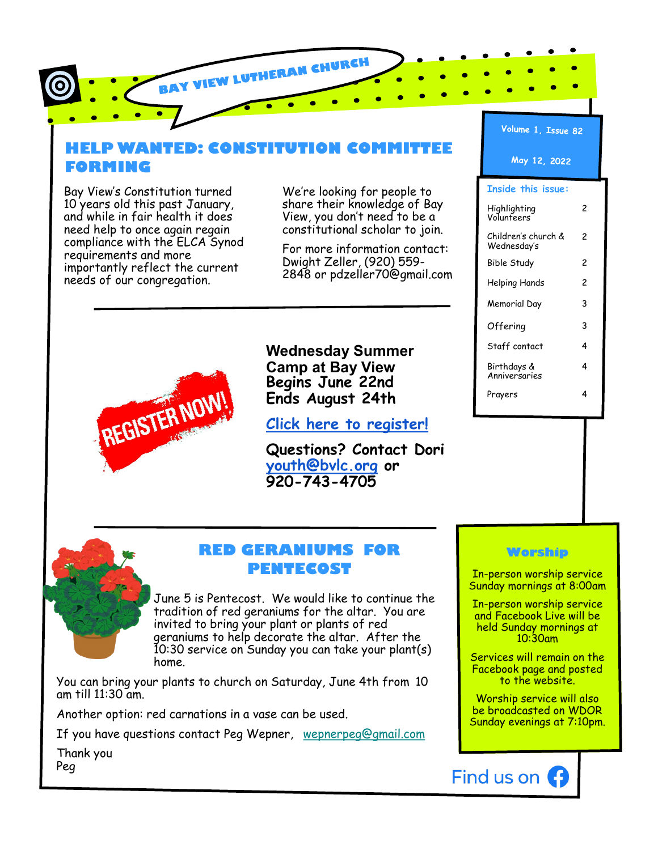# **HELP WANTED: CONSTITUTION COMMITTEE FORMING**

BAY VIEW LUTHERAN CHURCH

Bay View's Constitution turned 10 years old this past January, and while in fair health it does need help to once again regain compliance with the ELCA Synod requirements and more importantly reflect the current needs of our congregation.

We're looking for people to share their knowledge of Bay View, you don't need to be a constitutional scholar to join.

For more information contact: Dwight Zeller, (920) 559- 2848 or pdzeller70@gmail.com



**Wednesday Summer Camp at Bay View Begins June 22nd Ends August 24th**

**[Click here to register!](https://docs.google.com/forms/d/e/1FAIpQLScXoT4oRATTbiJVxCSKTUG0yiaIUZrrldx60HC9JAUhNtwLUw/viewform?usp=sf_link)**

**Questions? Contact Dori [youth@bvlc.org](mailto:youth@bvlc.org) or 920-743-4705**





# **RED GERANIUMS FOR PENTECOST**

June 5 is Pentecost. We would like to continue the tradition of red geraniums for the altar. You are invited to bring your plant or plants of red geraniums to help decorate the altar. After the 10:30 service on Sunday you can take your plant(s) home.

You can bring your plants to church on Saturday, June 4th from 10 am till 11:30 am.

Another option: red carnations in a vase can be used.

If you have questions contact Peg Wepner, [wepnerpeg@gmail.com](mailto:wepnerpeg@gmail.com)

Thank you Peg

# **Worship**

In-person worship service Sunday mornings at 8:00am

In-person worship service and Facebook Live will be held Sunday mornings at 10:30am

Services will remain on the Facebook page and posted to the website.

Worship service will also be broadcasted on WDOR Sunday evenings at 7:10pm.

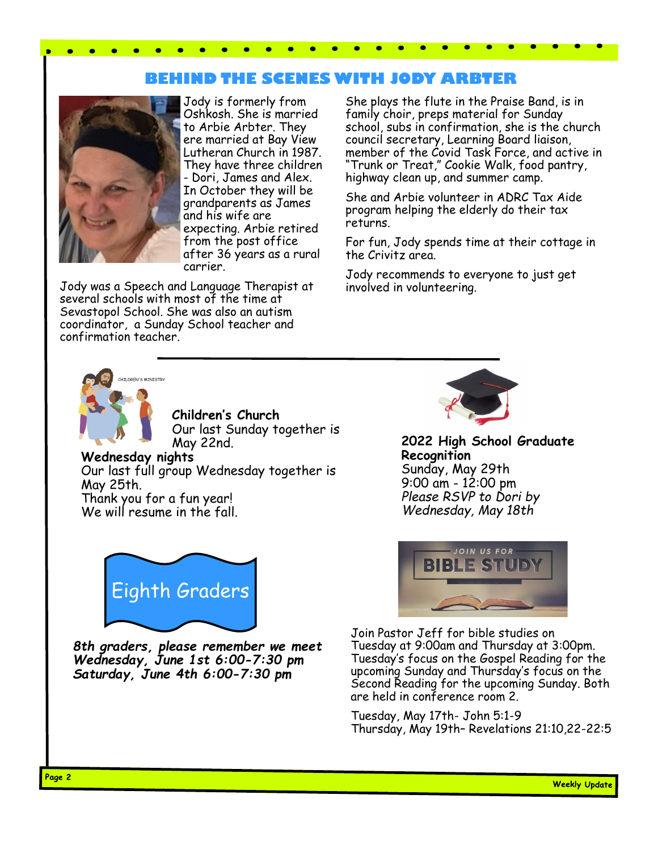# **BEHIND THE SCENES WITH JODY ARBTER**



Jody is formerly from Oshkosh. She is married to Arbie Arbter. They ere married at Bay View Lutheran Church in 1987. They have three children - Dori, James and Alex. In October they will be grandparents as James and his wife are expecting. Arbie retired from the post office after 36 years as a rural carrier.

Jody was a Speech and Language Therapist at several schools with most of the time at Sevastopol School. She was also an autism coordinator, a Sunday School teacher and confirmation teacher.

She plays the flute in the Praise Band, is in family choir, preps material for Sunday school, subs in confirmation, she is the church council secretary, Learning Board liaison, member of the Covid Task Force, and active in "Trunk or Treat," Cookie Walk, food pantry, highway clean up, and summer camp.

She and Arbie volunteer in ADRC Tax Aide program helping the elderly do their tax returns.

For fun, Jody spends time at their cottage in the Crivitz area.

Jody recommends to everyone to just get involved in volunteering.



**Children's Church**  Our last Sunday together is May 22nd.

**Wednesday nights** Our last full group Wednesday together is May 25th. Thank you for a fun year! We will resume in the fall.



*8th graders, please remember we meet Wednesday, June 1st 6:00-7:30 pm Saturday, June 4th 6:00-7:30 pm*



**2022 High School Graduate Recognition** Sunday, May 29th 9:00 am - 12:00 pm *Please RSVP to Dori by Wednesday, May 18th*



Join Pastor Jeff for bible studies on Tuesday at 9:00am and Thursday at 3:00pm. Tuesday's focus on the Gospel Reading for the upcoming Sunday and Thursday's focus on the Second Reading for the upcoming Sunday. Both are held in conference room 2.

Tuesday, May 17th- John 5:1-9 Thursday, May 19th– Revelations 21:10,22-22:5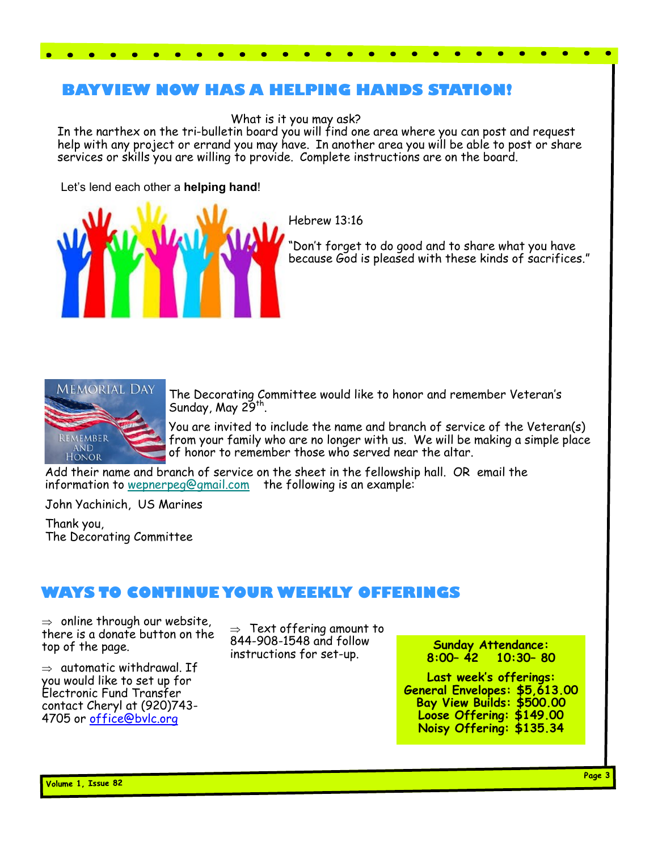# **BAYVIEW NOW HAS A HELPING HANDS STATION!**

 $\bullet$  $\bullet$ 

What is it you may ask?

In the narthex on the tri-bulletin board you will find one area where you can post and request help with any project or errand you may have. In another area you will be able to post or share services or skills you are willing to provide. Complete instructions are on the board.

### Let's lend each other a **helping hand**!

. . . . . . . . .



Hebrew 13:16

"Don't forget to do good and to share what you have because God is pleased with these kinds of sacrifices."



The Decorating Committee would like to honor and remember Veteran's Sunday, May 29<sup>th</sup>.

You are invited to include the name and branch of service of the Veteran(s) from your family who are no longer with us. We will be making a simple place of honor to remember those who served near the altar.

Add their name and branch of service on the sheet in the fellowship hall. OR email the information to [wepnerpeg@gmail.com](mailto:wepnerpeg@gmail.com) the following is an example:

John Yachinich, US Marines

Thank you, The Decorating Committee

# **WAYS TO CONTINUE YOUR WEEKLY OFFERINGS**

 $\Rightarrow$  online through our website, there is a donate button on the top of the page.

 $\Rightarrow$  automatic withdrawal. If you would like to set up for Electronic Fund Transfer contact Cheryl at (920)743- 4705 or [office@bvlc.org](mailto:office@bvlc.org)

 $\Rightarrow$  Text offering amount to 844-908-1548 and follow instructions for set-up.

**Sunday Attendance: 8:00– 42 10:30– 80**

**Last week's offerings: General Envelopes: \$5,613.00 Bay View Builds: \$500.00 Loose Offering: \$149.00 Noisy Offering: \$135.34**